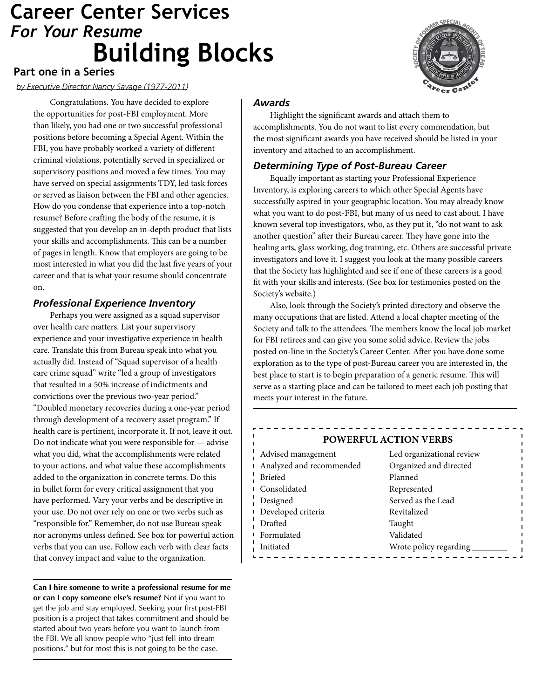# *For Your Resume* **Building Blocks Career Center Services**



## **Part one in a Series**

*by Executive Director Nancy Savage (1977-2011)*

Congratulations. You have decided to explore the opportunities for post-FBI employment. More than likely, you had one or two successful professional positions before becoming a Special Agent. Within the FBI, you have probably worked a variety of different criminal violations, potentially served in specialized or supervisory positions and moved a few times. You may have served on special assignments TDY, led task forces or served as liaison between the FBI and other agencies. How do you condense that experience into a top-notch resume? Before crafting the body of the resume, it is suggested that you develop an in-depth product that lists your skills and accomplishments. This can be a number of pages in length. Know that employers are going to be most interested in what you did the last five years of your career and that is what your resume should concentrate on.

## *Professional Experience Inventory*

Perhaps you were assigned as a squad supervisor over health care matters. List your supervisory experience and your investigative experience in health care. Translate this from Bureau speak into what you actually did. Instead of "Squad supervisor of a health care crime squad" write "led a group of investigators that resulted in a 50% increase of indictments and convictions over the previous two-year period." "Doubled monetary recoveries during a one-year period through development of a recovery asset program." If health care is pertinent, incorporate it. If not, leave it out. Do not indicate what you were responsible for — advise what you did, what the accomplishments were related to your actions, and what value these accomplishments added to the organization in concrete terms. Do this in bullet form for every critical assignment that you have performed. Vary your verbs and be descriptive in your use. Do not over rely on one or two verbs such as "responsible for." Remember, do not use Bureau speak nor acronyms unless defined. See box for powerful action verbs that you can use. Follow each verb with clear facts that convey impact and value to the organization.

**Can I hire someone to write a professional resume for me or can I copy someone else's resume?** Not if you want to get the job and stay employed. Seeking your first post-FBI position is a project that takes commitment and should be started about two years before you want to launch from the FBI. We all know people who "just fell into dream positions," but for most this is not going to be the case.

# *Awards*

Highlight the significant awards and attach them to accomplishments. You do not want to list every commendation, but the most significant awards you have received should be listed in your inventory and attached to an accomplishment.

# *Determining Type of Post-Bureau Career*

Equally important as starting your Professional Experience Inventory, is exploring careers to which other Special Agents have successfully aspired in your geographic location. You may already know what you want to do post-FBI, but many of us need to cast about. I have known several top investigators, who, as they put it, "do not want to ask another question" after their Bureau career. They have gone into the healing arts, glass working, dog training, etc. Others are successful private investigators and love it. I suggest you look at the many possible careers that the Society has highlighted and see if one of these careers is a good fit with your skills and interests. (See box for testimonies posted on the Society's website.)

Also, look through the Society's printed directory and observe the many occupations that are listed. Attend a local chapter meeting of the Society and talk to the attendees. The members know the local job market for FBI retirees and can give you some solid advice. Review the jobs posted on-line in the Society's Career Center. After you have done some exploration as to the type of post-Bureau career you are interested in, the best place to start is to begin preparation of a generic resume. This will serve as a starting place and can be tailored to meet each job posting that meets your interest in the future.

## **POWERFUL ACTION VERBS**

| Advised management       | Led organizational review |
|--------------------------|---------------------------|
| Analyzed and recommended | Organized and directed    |
| <b>Briefed</b>           | Planned                   |
| Consolidated             | Represented               |
| Designed                 | Served as the Lead        |
| Developed criteria       | Revitalized               |
| Drafted                  | Taught                    |
| Formulated               | Validated                 |
| Initiated                | Wrote policy regarding    |
|                          |                           |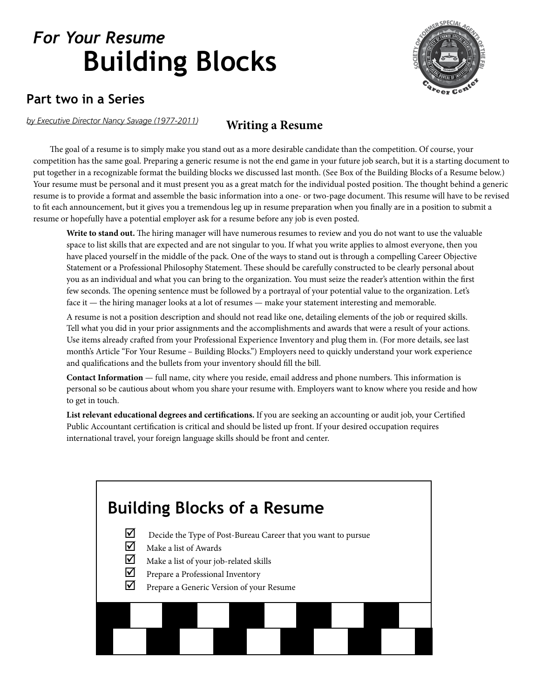

# **Part two in a Series**

*by Executive Director Nancy Savage (1977-2011)*

# **Writing a Resume**

The goal of a resume is to simply make you stand out as a more desirable candidate than the competition. Of course, your competition has the same goal. Preparing a generic resume is not the end game in your future job search, but it is a starting document to put together in a recognizable format the building blocks we discussed last month. (See Box of the Building Blocks of a Resume below.) Your resume must be personal and it must present you as a great match for the individual posted position. The thought behind a generic resume is to provide a format and assemble the basic information into a one- or two-page document. This resume will have to be revised to fit each announcement, but it gives you a tremendous leg up in resume preparation when you finally are in a position to submit a resume or hopefully have a potential employer ask for a resume before any job is even posted.

**Write to stand out.** The hiring manager will have numerous resumes to review and you do not want to use the valuable space to list skills that are expected and are not singular to you. If what you write applies to almost everyone, then you have placed yourself in the middle of the pack. One of the ways to stand out is through a compelling Career Objective Statement or a Professional Philosophy Statement. These should be carefully constructed to be clearly personal about you as an individual and what you can bring to the organization. You must seize the reader's attention within the first few seconds. The opening sentence must be followed by a portrayal of your potential value to the organization. Let's face it — the hiring manager looks at a lot of resumes — make your statement interesting and memorable.

A resume is not a position description and should not read like one, detailing elements of the job or required skills. Tell what you did in your prior assignments and the accomplishments and awards that were a result of your actions. Use items already crafted from your Professional Experience Inventory and plug them in. (For more details, see last month's Article "For Your Resume – Building Blocks.") Employers need to quickly understand your work experience and qualifications and the bullets from your inventory should fill the bill.

**Contact Information** — full name, city where you reside, email address and phone numbers. This information is personal so be cautious about whom you share your resume with. Employers want to know where you reside and how to get in touch.

**List relevant educational degrees and certifications.** If you are seeking an accounting or audit job, your Certified Public Accountant certification is critical and should be listed up front. If your desired occupation requires international travel, your foreign language skills should be front and center.

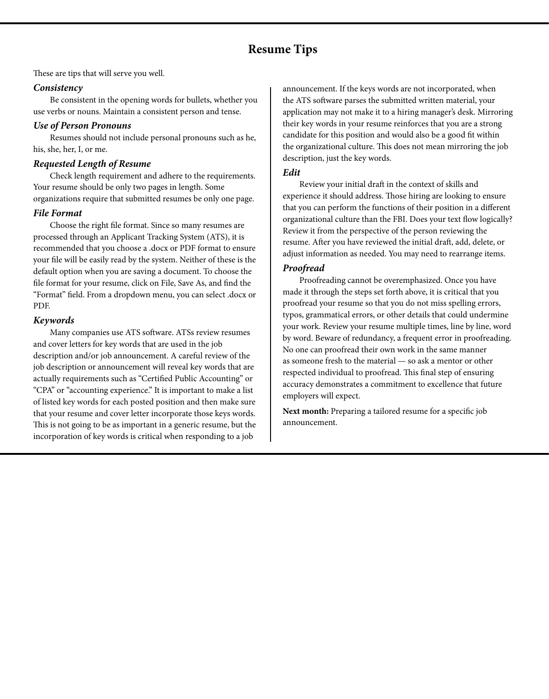# **Resume Tips**

These are tips that will serve you well.

#### *Consistency*

Be consistent in the opening words for bullets, whether you use verbs or nouns. Maintain a consistent person and tense.

#### *Use of Person Pronouns*

Resumes should not include personal pronouns such as he, his, she, her, I, or me.

#### *Requested Length of Resume*

Check length requirement and adhere to the requirements. Your resume should be only two pages in length. Some organizations require that submitted resumes be only one page.

## *File Format*

Choose the right file format. Since so many resumes are processed through an Applicant Tracking System (ATS), it is recommended that you choose a .docx or PDF format to ensure your file will be easily read by the system. Neither of these is the default option when you are saving a document. To choose the file format for your resume, click on File, Save As, and find the "Format" field. From a dropdown menu, you can select .docx or PDF.

## *Keywords*

Many companies use ATS software. ATSs review resumes and cover letters for key words that are used in the job description and/or job announcement. A careful review of the job description or announcement will reveal key words that are actually requirements such as "Certified Public Accounting" or "CPA" or "accounting experience." It is important to make a list of listed key words for each posted position and then make sure that your resume and cover letter incorporate those keys words. This is not going to be as important in a generic resume, but the incorporation of key words is critical when responding to a job

announcement. If the keys words are not incorporated, when the ATS software parses the submitted written material, your application may not make it to a hiring manager's desk. Mirroring their key words in your resume reinforces that you are a strong candidate for this position and would also be a good fit within the organizational culture. This does not mean mirroring the job description, just the key words.

## *Edit*

Review your initial draft in the context of skills and experience it should address. Those hiring are looking to ensure that you can perform the functions of their position in a different organizational culture than the FBI. Does your text flow logically? Review it from the perspective of the person reviewing the resume. After you have reviewed the initial draft, add, delete, or adjust information as needed. You may need to rearrange items.

## *Proofread*

Proofreading cannot be overemphasized. Once you have made it through the steps set forth above, it is critical that you proofread your resume so that you do not miss spelling errors, typos, grammatical errors, or other details that could undermine your work. Review your resume multiple times, line by line, word by word. Beware of redundancy, a frequent error in proofreading. No one can proofread their own work in the same manner as someone fresh to the material — so ask a mentor or other respected individual to proofread. This final step of ensuring accuracy demonstrates a commitment to excellence that future employers will expect.

**Next month:** Preparing a tailored resume for a specific job announcement.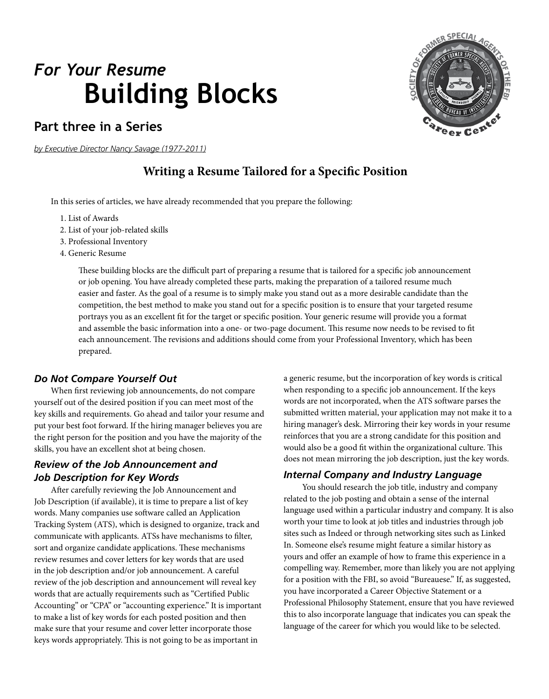# **Part three in a Series**

*by Executive Director Nancy Savage (1977-2011)*

# **Writing a Resume Tailored for a Specific Position**

In this series of articles, we have already recommended that you prepare the following:

- 1. List of Awards
- 2. List of your job-related skills
- 3. Professional Inventory
- 4. Generic Resume

These building blocks are the difficult part of preparing a resume that is tailored for a specific job announcement or job opening. You have already completed these parts, making the preparation of a tailored resume much easier and faster. As the goal of a resume is to simply make you stand out as a more desirable candidate than the competition, the best method to make you stand out for a specific position is to ensure that your targeted resume portrays you as an excellent fit for the target or specific position. Your generic resume will provide you a format and assemble the basic information into a one- or two-page document. This resume now needs to be revised to fit each announcement. The revisions and additions should come from your Professional Inventory, which has been prepared.

## *Do Not Compare Yourself Out*

When first reviewing job announcements, do not compare yourself out of the desired position if you can meet most of the key skills and requirements. Go ahead and tailor your resume and put your best foot forward. If the hiring manager believes you are the right person for the position and you have the majority of the skills, you have an excellent shot at being chosen.

# *Review of the Job Announcement and Job Description for Key Words*

After carefully reviewing the Job Announcement and Job Description (if available), it is time to prepare a list of key words. Many companies use software called an Application Tracking System (ATS), which is designed to organize, track and communicate with applicants. ATSs have mechanisms to filter, sort and organize candidate applications. These mechanisms review resumes and cover letters for key words that are used in the job description and/or job announcement. A careful review of the job description and announcement will reveal key words that are actually requirements such as "Certified Public Accounting" or "CPA" or "accounting experience." It is important to make a list of key words for each posted position and then make sure that your resume and cover letter incorporate those keys words appropriately. This is not going to be as important in

a generic resume, but the incorporation of key words is critical when responding to a specific job announcement. If the keys words are not incorporated, when the ATS software parses the submitted written material, your application may not make it to a hiring manager's desk. Mirroring their key words in your resume reinforces that you are a strong candidate for this position and would also be a good fit within the organizational culture. This does not mean mirroring the job description, just the key words.

## *Internal Company and Industry Language*

 You should research the job title, industry and company related to the job posting and obtain a sense of the internal language used within a particular industry and company. It is also worth your time to look at job titles and industries through job sites such as Indeed or through networking sites such as Linked In. Someone else's resume might feature a similar history as yours and offer an example of how to frame this experience in a compelling way. Remember, more than likely you are not applying for a position with the FBI, so avoid "Bureauese." If, as suggested, you have incorporated a Career Objective Statement or a Professional Philosophy Statement, ensure that you have reviewed this to also incorporate language that indicates you can speak the language of the career for which you would like to be selected.

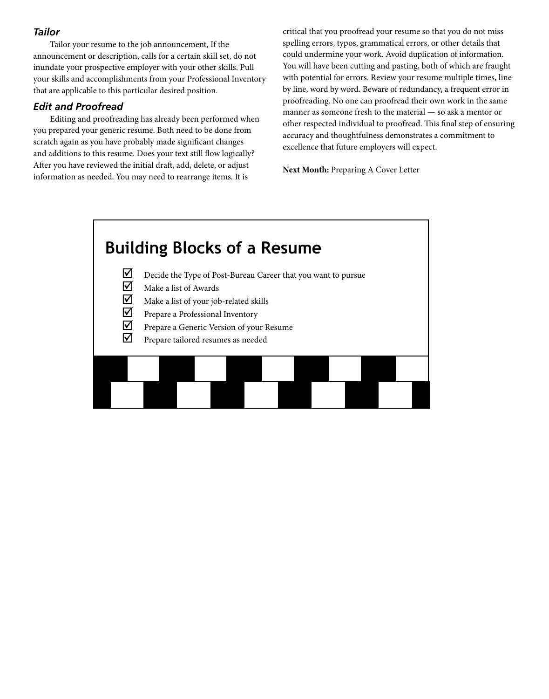## *Tailor*

Tailor your resume to the job announcement, If the announcement or description, calls for a certain skill set, do not inundate your prospective employer with your other skills. Pull your skills and accomplishments from your Professional Inventory that are applicable to this particular desired position.

## *Edit and Proofread*

Editing and proofreading has already been performed when you prepared your generic resume. Both need to be done from scratch again as you have probably made significant changes and additions to this resume. Does your text still flow logically? After you have reviewed the initial draft, add, delete, or adjust information as needed. You may need to rearrange items. It is

critical that you proofread your resume so that you do not miss spelling errors, typos, grammatical errors, or other details that could undermine your work. Avoid duplication of information. You will have been cutting and pasting, both of which are fraught with potential for errors. Review your resume multiple times, line by line, word by word. Beware of redundancy, a frequent error in proofreading. No one can proofread their own work in the same manner as someone fresh to the material — so ask a mentor or other respected individual to proofread. This final step of ensuring accuracy and thoughtfulness demonstrates a commitment to excellence that future employers will expect.

**Next Month:** Preparing A Cover Letter

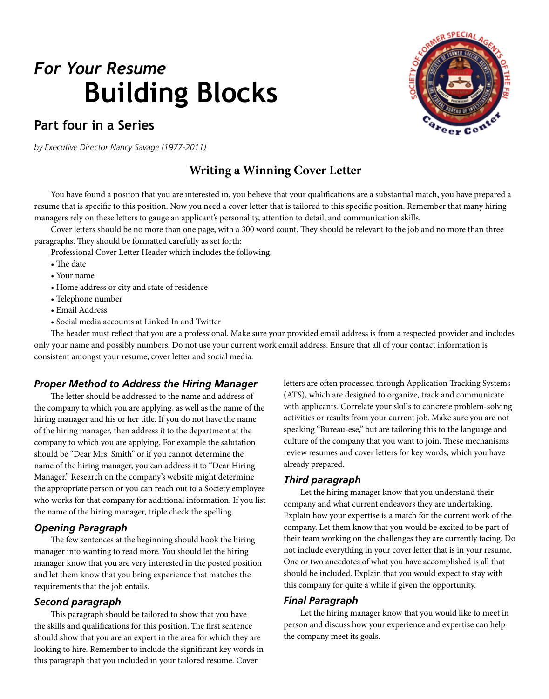# **Part four in a Series**

*by Executive Director Nancy Savage (1977-2011)*

# **Writing a Winning Cover Letter**

You have found a positon that you are interested in, you believe that your qualifications are a substantial match, you have prepared a resume that is specific to this position. Now you need a cover letter that is tailored to this specific position. Remember that many hiring managers rely on these letters to gauge an applicant's personality, attention to detail, and communication skills.

Cover letters should be no more than one page, with a 300 word count. They should be relevant to the job and no more than three paragraphs. They should be formatted carefully as set forth:

Professional Cover Letter Header which includes the following:

- The date
- Your name
- Home address or city and state of residence
- Telephone number
- Email Address
- Social media accounts at Linked In and Twitter

The header must reflect that you are a professional. Make sure your provided email address is from a respected provider and includes only your name and possibly numbers. Do not use your current work email address. Ensure that all of your contact information is consistent amongst your resume, cover letter and social media.

## *Proper Method to Address the Hiring Manager*

The letter should be addressed to the name and address of the company to which you are applying, as well as the name of the hiring manager and his or her title. If you do not have the name of the hiring manager, then address it to the department at the company to which you are applying. For example the salutation should be "Dear Mrs. Smith" or if you cannot determine the name of the hiring manager, you can address it to "Dear Hiring Manager." Research on the company's website might determine the appropriate person or you can reach out to a Society employee who works for that company for additional information. If you list the name of the hiring manager, triple check the spelling.

## *Opening Paragraph*

The few sentences at the beginning should hook the hiring manager into wanting to read more. You should let the hiring manager know that you are very interested in the posted position and let them know that you bring experience that matches the requirements that the job entails.

#### *Second paragraph*

This paragraph should be tailored to show that you have the skills and qualifications for this position. The first sentence should show that you are an expert in the area for which they are looking to hire. Remember to include the significant key words in this paragraph that you included in your tailored resume. Cover

letters are often processed through Application Tracking Systems (ATS), which are designed to organize, track and communicate with applicants. Correlate your skills to concrete problem-solving activities or results from your current job. Make sure you are not speaking "Bureau-ese," but are tailoring this to the language and culture of the company that you want to join. These mechanisms review resumes and cover letters for key words, which you have already prepared.

#### *Third paragraph*

Let the hiring manager know that you understand their company and what current endeavors they are undertaking. Explain how your expertise is a match for the current work of the company. Let them know that you would be excited to be part of their team working on the challenges they are currently facing. Do not include everything in your cover letter that is in your resume. One or two anecdotes of what you have accomplished is all that should be included. Explain that you would expect to stay with this company for quite a while if given the opportunity.

#### *Final Paragraph*

Let the hiring manager know that you would like to meet in person and discuss how your experience and expertise can help the company meet its goals.

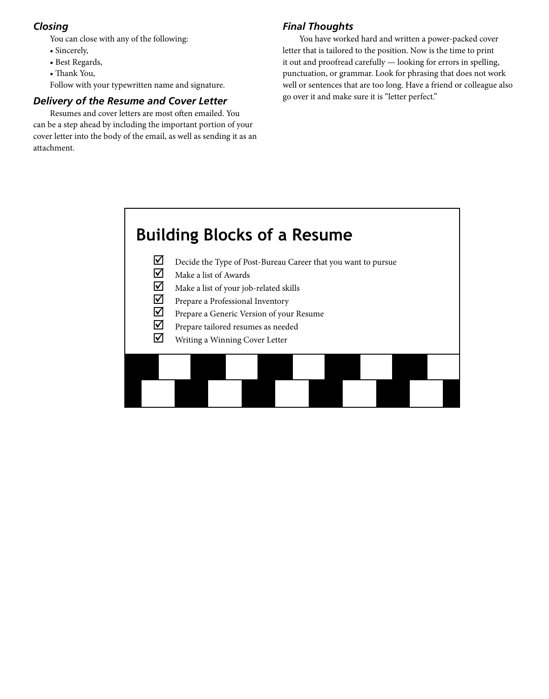# *Closing*

You can close with any of the following:

- Sincerely,
- Best Regards,
- Thank You,

Follow with your typewritten name and signature.

# *Delivery of the Resume and Cover Letter*

Resumes and cover letters are most often emailed. You can be a step ahead by including the important portion of your cover letter into the body of the email, as well as sending it as an attachment.

# *Final Thoughts*

You have worked hard and written a power-packed cover letter that is tailored to the position. Now is the time to print it out and proofread carefully — looking for errors in spelling, punctuation, or grammar. Look for phrasing that does not work well or sentences that are too long. Have a friend or colleague also go over it and make sure it is "letter perfect."

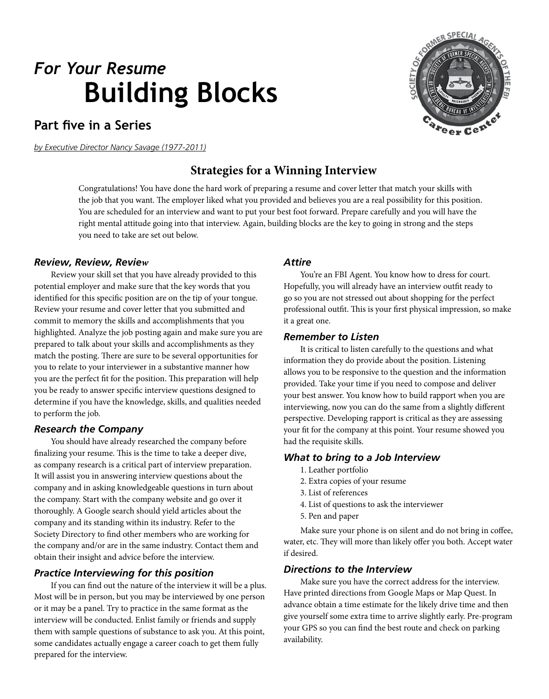# **Part five in a Series**

*by Executive Director Nancy Savage (1977-2011)*

# **Strategies for a Winning Interview**

Congratulations! You have done the hard work of preparing a resume and cover letter that match your skills with the job that you want. The employer liked what you provided and believes you are a real possibility for this position. You are scheduled for an interview and want to put your best foot forward. Prepare carefully and you will have the right mental attitude going into that interview. Again, building blocks are the key to going in strong and the steps you need to take are set out below.

## *Review, Review, Review*

Review your skill set that you have already provided to this potential employer and make sure that the key words that you identified for this specific position are on the tip of your tongue. Review your resume and cover letter that you submitted and commit to memory the skills and accomplishments that you highlighted. Analyze the job posting again and make sure you are prepared to talk about your skills and accomplishments as they match the posting. There are sure to be several opportunities for you to relate to your interviewer in a substantive manner how you are the perfect fit for the position. This preparation will help you be ready to answer specific interview questions designed to determine if you have the knowledge, skills, and qualities needed to perform the job.

## *Research the Company*

You should have already researched the company before finalizing your resume. This is the time to take a deeper dive, as company research is a critical part of interview preparation. It will assist you in answering interview questions about the company and in asking knowledgeable questions in turn about the company. Start with the company website and go over it thoroughly. A Google search should yield articles about the company and its standing within its industry. Refer to the Society Directory to find other members who are working for the company and/or are in the same industry. Contact them and obtain their insight and advice before the interview.

## *Practice Interviewing for this position*

If you can find out the nature of the interview it will be a plus. Most will be in person, but you may be interviewed by one person or it may be a panel. Try to practice in the same format as the interview will be conducted. Enlist family or friends and supply them with sample questions of substance to ask you. At this point, some candidates actually engage a career coach to get them fully prepared for the interview.

#### *Attire*

You're an FBI Agent. You know how to dress for court. Hopefully, you will already have an interview outfit ready to go so you are not stressed out about shopping for the perfect professional outfit. This is your first physical impression, so make it a great one.

#### *Remember to Listen*

It is critical to listen carefully to the questions and what information they do provide about the position. Listening allows you to be responsive to the question and the information provided. Take your time if you need to compose and deliver your best answer. You know how to build rapport when you are interviewing, now you can do the same from a slightly different perspective. Developing rapport is critical as they are assessing your fit for the company at this point. Your resume showed you had the requisite skills.

## *What to bring to a Job Interview*

- 1. Leather portfolio
- 2. Extra copies of your resume
- 3. List of references
- 4. List of questions to ask the interviewer
- 5. Pen and paper

Make sure your phone is on silent and do not bring in coffee, water, etc. They will more than likely offer you both. Accept water if desired.

## *Directions to the Interview*

Make sure you have the correct address for the interview. Have printed directions from Google Maps or Map Quest. In advance obtain a time estimate for the likely drive time and then give yourself some extra time to arrive slightly early. Pre-program your GPS so you can find the best route and check on parking availability.